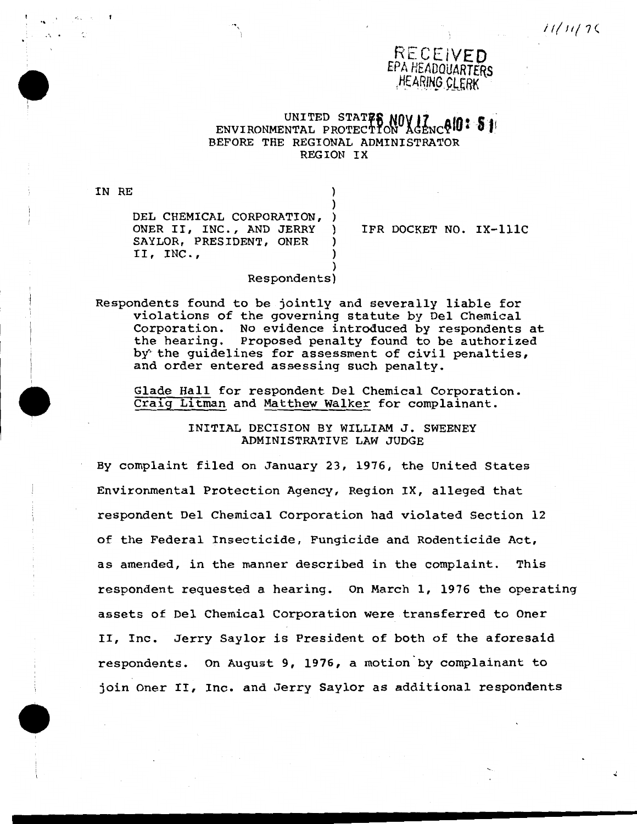ReCEiVED EPA HEADQUARTERS HEARING CLERK

## UNITED STATES NOVIZ QUI. SI BEFORE THE REGIONAL ADMINISTRATOR REGION IX

IN RE ) DEL CHEMICAL CORPORATION, ONER II, INC., AND JERRY SAYLOR, PRESIDENT, ONER II, INC., } )

'

.. .,

IFR DOCKET NO. IX-lllC

## Respondents)

Respondents found to be jointly and severally liable for violations of the governing statute by Del Chemical Corporation. No evidence introduced by respondents at the hearing. Proposed penalty found to be authorized by the guidelines for assessment of civil penalties, and order entered assessing such penalty.

Glade Hall for respondent Del Chemical Corporation. Craig Litman and Matthew Walker for complainant.

> INITIAL DECISION BY WILLIAM J. SWEENEY ADMINISTRATIVE LAW JUDGE

By complaint filed on January 23, 1976, the United States Environmental Protection Agency, Region IX, alleged that respondent Del Chemical Corporation had violated Section 12 of the Federal Insecticide, Fungicide and Rodenticide Act, as amended, in the manner described in the complaint. This respondent requested a hearing. On March 1, 1976 the operating assets of Del Chemical Corporation were transferred to Oner II, Inc. Jerry Saylor is President of both of the aforesaid respondents. On August  $9$ , 1976, a motion by complainant to join Oner II, Inc. and Jerry Saylor as additional respondents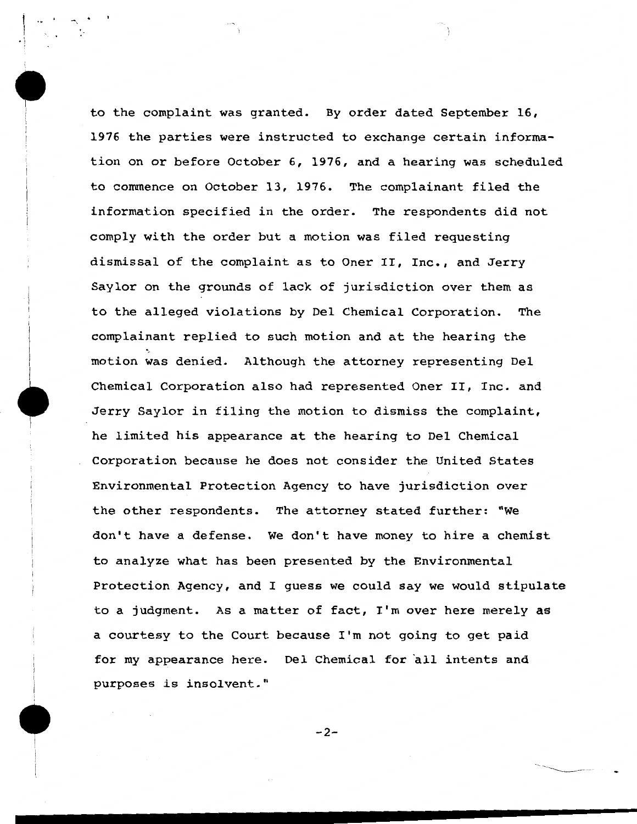to the complaint was granted. By order dated September 16, 1976 the parties were instructed to exchange certain information on or before October 6, 1976, and a hearing was scheduled to commence on October 13, 1976. The complainant filed the information specified in the order. The respondents did not comply with the order but a motion was filed requesting dismissal of the complaint as to Oner II, Inc., and Jerry Saylor on the grounds of lack of jurisdiction over them as to the alleged violations by Del Chemical Corporation. The complainant replied to such motion and at the hearing the motion was denied. Although the attorney representing Del Chemical Corporation also had represented Oner II, Inc. and Jerry Saylor in filing the motion to dismiss the complaint, he limited his appearance at the hearing to Del Chemical Corporation because he does not consider the United States Environmental Protection Agency to have jurisdiction over the other respondents. The attorney stated further: "We don't have a defense. We don't have money to hire a chemist to analyze what has been presented by the Environmental Protection Agency, and I guess we could say we would stipulate to a judgment. As a matter of fact, I'm over here merely as a courtesy to the Court because I'm not going to get paid for my appearance here. Del Chemical for all intents and purposes is insolvent."

 $-2-$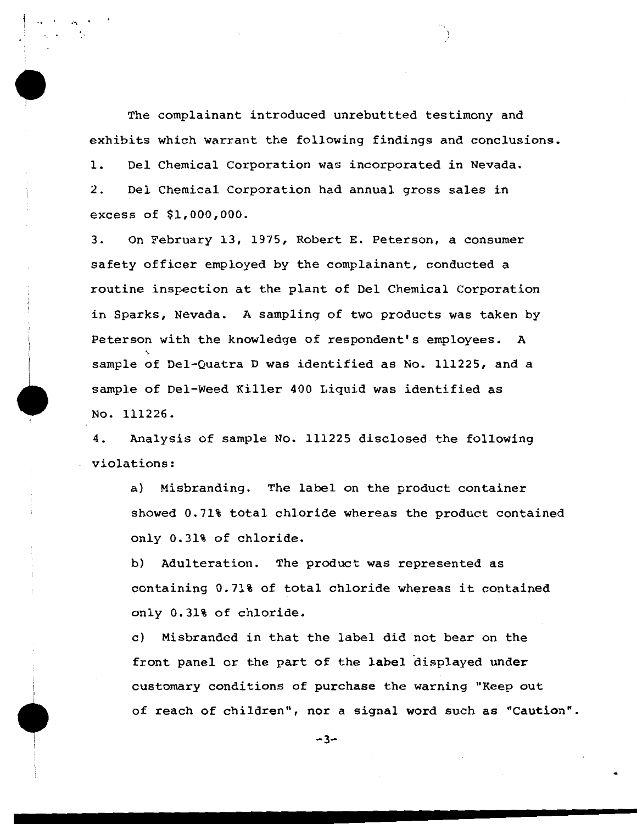The complainant introduced unrebuttted testimony and exhibits which warrant the following findings and conclusions. 1. Del Chemical Corporation was incorporated in Nevada. 2. Del Chemical Corporation had annual gross sales in excess of \$1,000,000.

 $\cdot$ 

3. On February 13, 1975, Robert E. Peterson, a consumer safety officer employed by the complainant, conducted a routine inspection at the plant of Del Chemical Corporation in Sparks, Nevada. A sampling of two products was taken by Peterson with the knowledge of respondent's employees. A sample of Del-Quatra D was identified as No. 111225, and a sample of Del-Weed Killer 400 Liquid was identified as No. 111226.

4. Analysis of sample No. 111225 disclosed the following violations:

a) Misbranding. The label on the product container showed 0.71% total chloride whereas the product contained only 0.31% of chloride.

b) Adulteration. The product was represented as containing 0.71% of total chloride whereas it contained only 0.31% of chloride.

c) Misbranded in that the label did not bear on the front panel or the part of the label displayed under customary conditions of purchase the warning "Keep out of reach of children", nor a signal word such as "Caution".

 $-3-$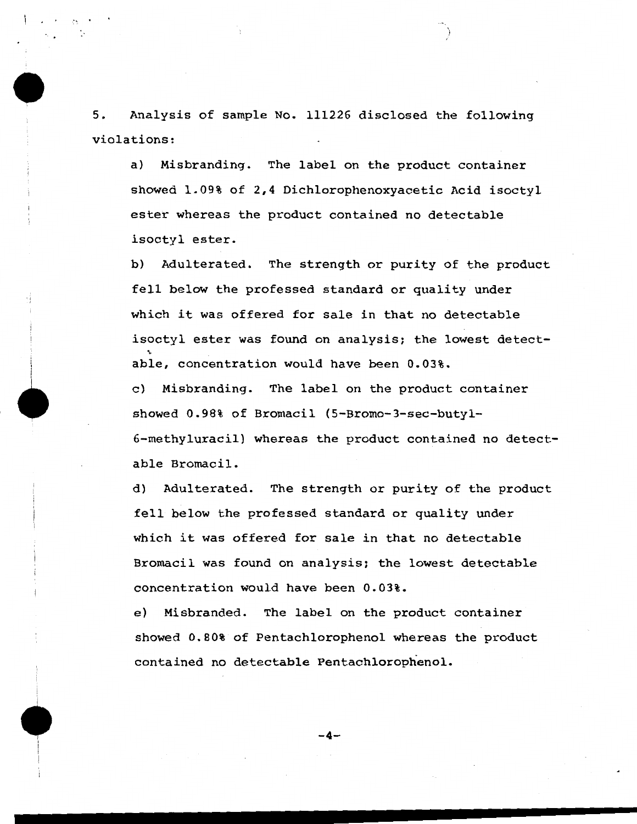5. Analysis of sample No. 111226 disclosed the following violations:

a) Misbranding. The label on the product container showed 1.09% of 2,4 Dichlorophenoxyacetic Acid isoctyl ester whereas the product contained no detectable isoctyl ester.

b) Adulterated. The strength or purity of the product fell below the professed standard or quality under which it was offered for sale in that no detectable isoctyl ester was found on analysis; the lowest detectable, concentration would have been 0.03%.

- ' I

c) Misbranding. The label on the product container showed  $0.98%$  of Bromacil (5-Bromo-3-sec-butyl-6-rnethyluracil) whereas the product contained no detectable Bromacil.

d) Adulterated. The strength or purity of the product fell below the professed standard or quality under which it was offered for sale in that no detectable Bromacil was found on analysis; the lowest detectable concentration would have been 0.03%.

e) Misbranded. The label on the product container showed 0.80% of Pentachlorophenol whereas the product contained no detectable Pentachlorophenol.

-4-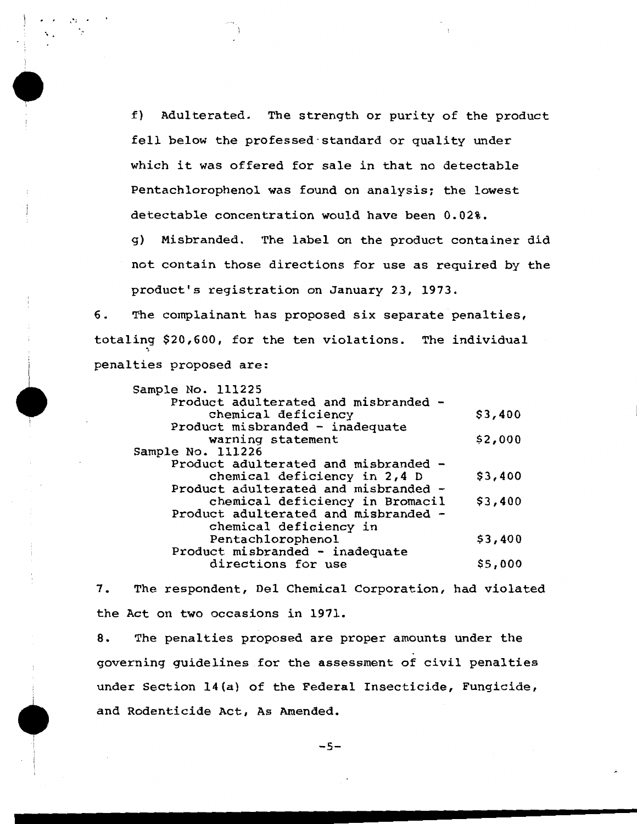f) Adulterated. The strength or purity of the product fell below the professed standard or quality under which it was offered for sale in that no detectable Pentachlorophenol was found on analysis; the lowest detectable concentration would have been 0.02%.

·,.

g) Misbranded. The label on the product container did not contain those directions for use as required by the product's registration on January 23, 1973.

6. The complainant has proposed six separate penalties, totaling \$20,600, for the ten violations. The individual penalties proposed are:

| Sample No. 111225                    |         |
|--------------------------------------|---------|
| Product adulterated and misbranded - |         |
| chemical deficiency                  | \$3,400 |
| Product misbranded - inadequate      |         |
| warning statement                    | \$2,000 |
| Sample No. 111226                    |         |
| Product adulterated and misbranded - |         |
| chemical deficiency in 2,4 D         | \$3,400 |
| Product adulterated and misbranded - |         |
| chemical deficiency in Bromacil      | \$3,400 |
| Product adulterated and misbranded - |         |
| chemical deficiency in               |         |
| Pentachlorophenol                    | \$3,400 |
| Product misbranded - inadequate      |         |
| directions for use                   | \$5,000 |

7. The respondent, Del Chemical Corporation, had violated the Act on two occasions in 1971.

8. The penalties proposed are proper amounts under the governing guidelines for the assessment of civil penalties under Section 14(a) of the Federal Insecticide, Fungicide, and Rodenticide Act, As Amended.

 $-5-$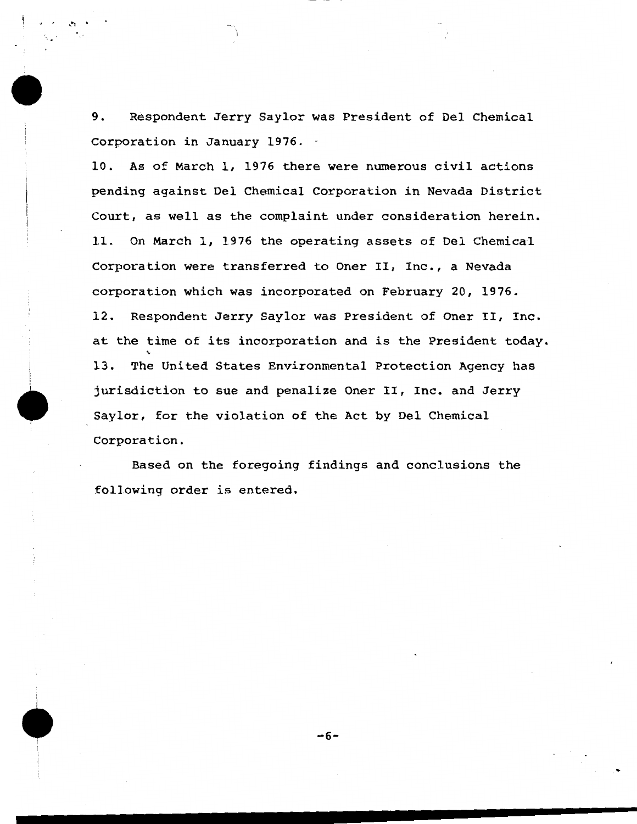9. Respondent Jerry Saylor was President of Del Chemical Corporation in January 1976.

 $\ddot{\phantom{0}}$ 

10. As of March 1, 1976 there were numerous civil actions pending against Del Chemical Corporation in Nevada District Court, as well as the complaint under consideration herein. 11. On March 1, 1976 the operating assets of Del Chemical Corporation were transferred to Oner II, Inc., a Nevada corporation which was incorporated on February 20, 1976. 12. Respondent Jerry Saylor was President of Oner II, Inc. at the time of its incorporation and is the President today. 13. The United States Environmental Protection Agency has jurisdiction to sue and penalize Oner II, Inc. and Jerry Saylor, for the violation of the Act by Del Chemical Corporation.

Based on the foregoing findings and conclusions the following order is entered.

-6-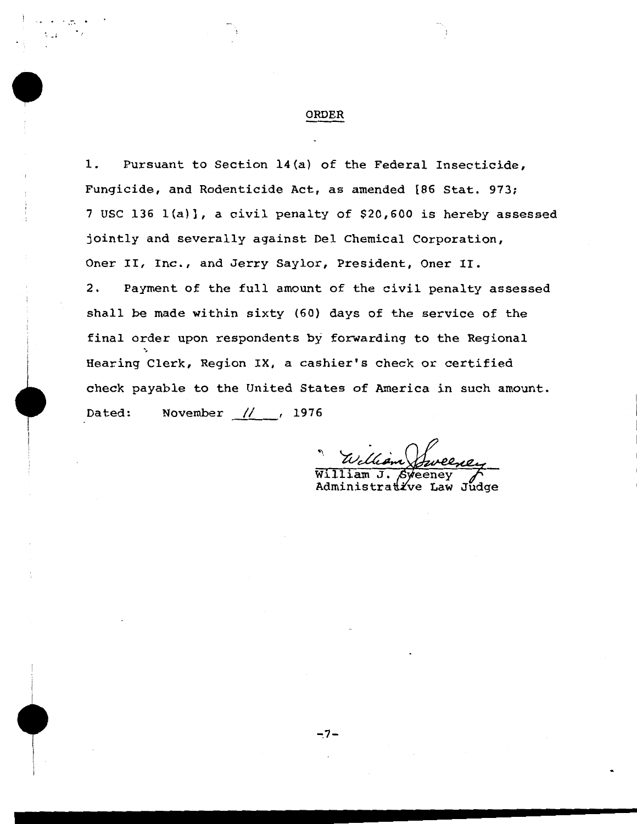## ORDER

.. ....

 $\mathbb{R}^{\mathbb{Z}_2}$ 

1. Pursuant to Section 14(a) of the Federal Insecticide, Fungicide, and Rodenticide Act, as amended [86 Stat. 973; 7 USC 136 l(a)], a civil penalty of \$20,600 is hereby assessed jointly and severally against Del Chemical Corporation, Oner II, Inc., and Jerry Saylor, President, Oner II. 2. Payment of the full amount of the civil penalty assessed shall be made within sixty (60) days of the service of the final order upon respondents by forwarding to the Regional Hearing Clerk, Region IX, a cashier's check or certified check payable to the United States of America in such amount. Dated: November // 1976

William J. Sv

Administrative Law aphrit.